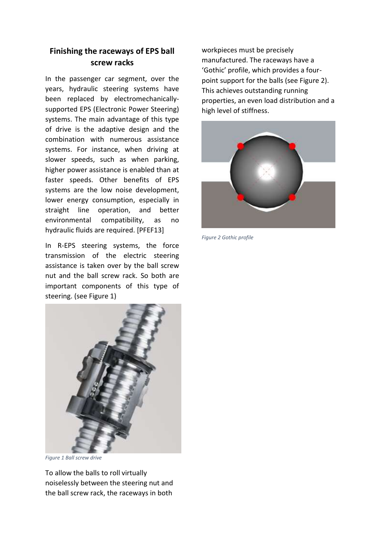## **Finishing the raceways of EPS ball screw racks**

In the passenger car segment, over the years, hydraulic steering systems have been replaced by electromechanicallysupported EPS (Electronic Power Steering) systems. The main advantage of this type of drive is the adaptive design and the combination with numerous assistance systems. For instance, when driving at slower speeds, such as when parking, higher power assistance is enabled than at faster speeds. Other benefits of EPS systems are the low noise development, lower energy consumption, especially in straight line operation, and better environmental compatibility, as no hydraulic fluids are required. [PFEF13]

In R-EPS steering systems, the force transmission of the electric steering assistance is taken over by the ball screw nut and the ball screw rack. So both are important components of this type of steering. (see Figure 1)



*Figure 1 Ball screw drive*

To allow the balls to roll virtually noiselessly between the steering nut and the ball screw rack, the raceways in both

workpieces must be precisely manufactured. The raceways have a 'Gothic' profile, which provides a fourpoint support for the balls (see Figure 2). This achieves outstanding running properties, an even load distribution and a high level of stiffness.



*Figure 2 Gothic profile*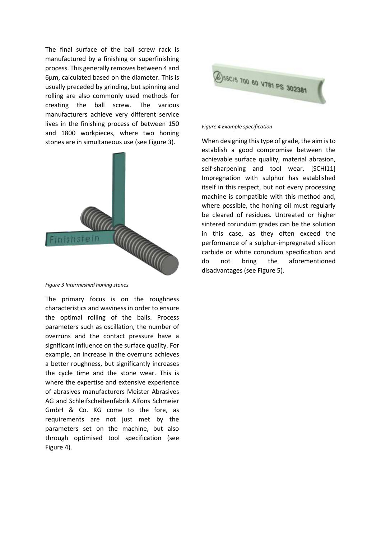The final surface of the ball screw rack is manufactured by a finishing or superfinishing process. This generally removes between 4 and 6µm, calculated based on the diameter. This is usually preceded by grinding, but spinning and rolling are also commonly used methods for creating the ball screw. The various manufacturers achieve very different service lives in the finishing process of between 150 and 1800 workpieces, where two honing stones are in simultaneous use (see Figure 3).



*Figure 3 Intermeshed honing stones*

The primary focus is on the roughness characteristics and waviness in order to ensure the optimal rolling of the balls. Process parameters such as oscillation, the number of overruns and the contact pressure have a significant influence on the surface quality. For example, an increase in the overruns achieves a better roughness, but significantly increases the cycle time and the stone wear. This is where the expertise and extensive experience of abrasives manufacturers Meister Abrasives AG and Schleifscheibenfabrik Alfons Schmeier GmbH & Co. KG come to the fore, as requirements are not just met by the parameters set on the machine, but also through optimised tool specification (see Figure 4).



## *Figure 4 Example specification*

When designing this type of grade, the aim is to establish a good compromise between the achievable surface quality, material abrasion, self-sharpening and tool wear. [SCHI11] Impregnation with sulphur has established itself in this respect, but not every processing machine is compatible with this method and, where possible, the honing oil must regularly be cleared of residues. Untreated or higher sintered corundum grades can be the solution in this case, as they often exceed the performance of a sulphur-impregnated silicon carbide or white corundum specification and do not bring the aforementioned disadvantages (see Figure 5).